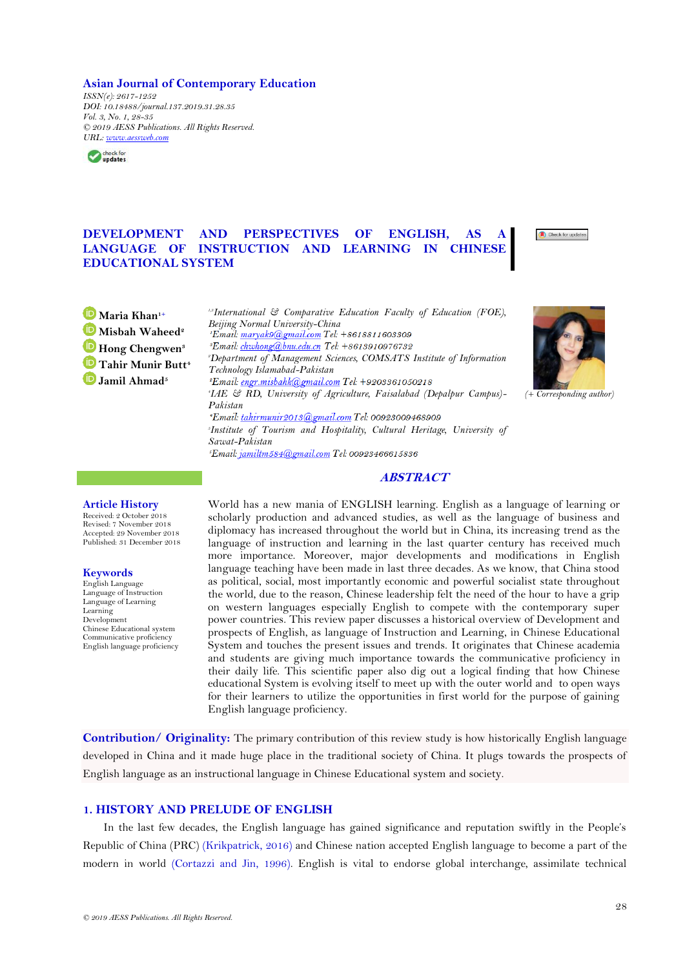**Asian Journal of Contemporary Education** *ISSN(e): 2617-1252 DOI: 10.18488/journal.137.2019.31.28.35*

*Vol. 3, No. 1, 28-35 © 2019 AESS Publications. All Rights Reserved. URL: [www.aessweb.com](http://www.aessweb.com/)*



# **DEVELOPMENT AND PERSPECTIVES OF ENGLISH, AS A LANGUAGE OF INSTRUCTION AND LEARNING IN CHINESE EDUCATIONAL SYSTEM**



**[M](https://orcid.org/0000-0001-5157-0992)aria Khan1+ [M](https://orcid.org/0000-0001-8248-4499)isbah Waheed<sup>2</sup> [H](https://orcid.org/0000-0003-0368-4017)ong Chengwen<sup>3</sup> [T](https://orcid.org/0000-0002-5751-1384)ahir Munir Butt<sup>4</sup> [J](https://orcid.org/0000-0002-5719-784X)amil Ahmad<sup>5</sup>**

*1,3International & Comparative Education Faculty of Education (FOE), Beijing Normal University-China* <sup>3</sup>Email: chwhong@bnu.edu.cn Tel: +8613910976732 *<sup>2</sup>Department of Management Sciences, COMSATS Institute of Information Technology Islamabad-Pakistan 4 IAE & RD, University of Agriculture, Faisalabad (Depalpur Campus)- Pakistan 5 Institute of Tourism and Hospitality, Cultural Heritage, University of Sawat-Pakistan*



*(+ Corresponding author)*

## **ABSTRACT**

### **Article History**

Received: 2 October 2018 Revised: 7 November 2018 Accepted: 29 November 2018 Published: 31 December 2018

## **Keywords**

English Language Language of Instruction Language of Learning Learning Development Chinese Educational system Communicative proficiency English language proficiency World has a new mania of ENGLISH learning. English as a language of learning or scholarly production and advanced studies, as well as the language of business and diplomacy has increased throughout the world but in China, its increasing trend as the language of instruction and learning in the last quarter century has received much more importance. Moreover, major developments and modifications in English language teaching have been made in last three decades. As we know, that China stood as political, social, most importantly economic and powerful socialist state throughout the world, due to the reason, Chinese leadership felt the need of the hour to have a grip on western languages especially English to compete with the contemporary super power countries. This review paper discusses a historical overview of Development and prospects of English, as language of Instruction and Learning, in Chinese Educational System and touches the present issues and trends. It originates that Chinese academia and students are giving much importance towards the communicative proficiency in their daily life. This scientific paper also dig out a logical finding that how Chinese educational System is evolving itself to meet up with the outer world and to open ways for their learners to utilize the opportunities in first world for the purpose of gaining English language proficiency.

**Contribution/ Originality:** The primary contribution of this review study is how historically English language developed in China and it made huge place in the traditional society of China. It plugs towards the prospects of English language as an instructional language in Chinese Educational system and society.

## **1. HISTORY AND PRELUDE OF ENGLISH**

In the last few decades, the English language has gained significance and reputation swiftly in the People's Republic of China (PRC) [\(Krikpatrick, 2016\)](#page-6-0) and Chinese nation accepted English language to become a part of the modern in world [\(Cortazzi and Jin, 1996\)](#page-6-1). English is vital to endorse global interchange, assimilate technical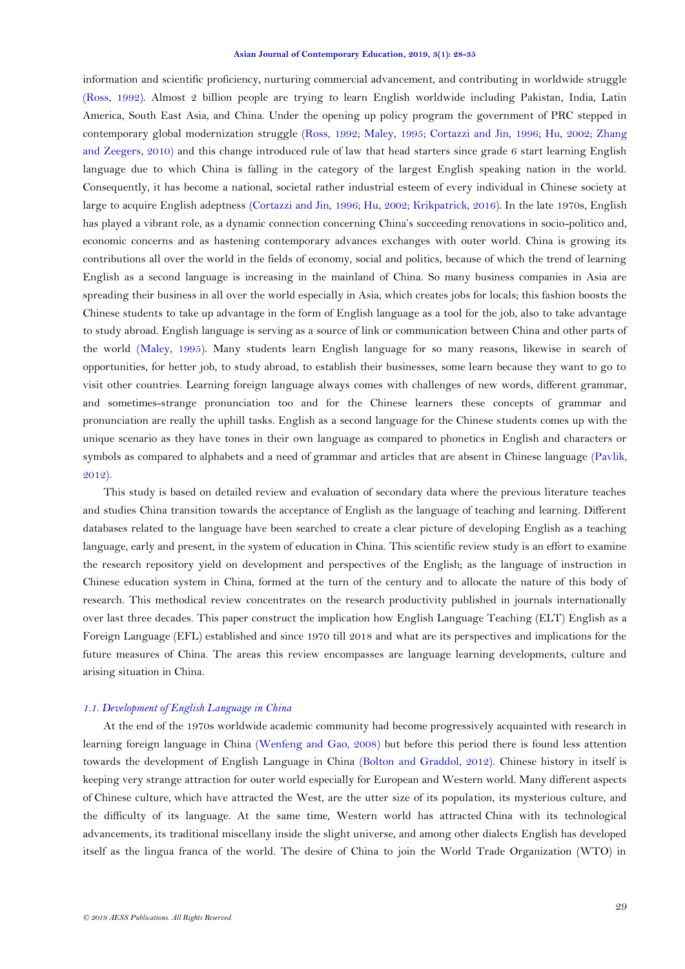information and scientific proficiency, nurturing commercial advancement, and contributing in worldwide struggle [\(Ross, 1992\)](#page-6-2). Almost 2 billion people are trying to learn English worldwide including Pakistan, India, Latin America, South East Asia, and China. Under the opening up policy program the government of PRC stepped in contemporary global modernization struggle [\(Ross, 1992;](#page-6-2) [Maley, 1995;](#page-6-3) [Cortazzi and Jin, 1996;](#page-6-1) [Hu, 2002;](#page-6-4) [Zhang](#page-7-0)  [and Zeegers, 2010\)](#page-7-0) and this change introduced rule of law that head starters since grade 6 start learning English language due to which China is falling in the category of the largest English speaking nation in the world. Consequently, it has become a national, societal rather industrial esteem of every individual in Chinese society at large to acquire English adeptness [\(Cortazzi and Jin, 1996;](#page-6-1) [Hu, 2002;](#page-6-4) [Krikpatrick, 2016\)](#page-6-0). In the late 1970s, English has played a vibrant role, as a dynamic connection concerning China's succeeding renovations in socio-politico and, economic concerns and as hastening contemporary advances exchanges with outer world. China is growing its contributions all over the world in the fields of economy, social and politics, because of which the trend of learning English as a second language is increasing in the mainland of China. So many business companies in Asia are spreading their business in all over the world especially in Asia, which creates jobs for locals; this fashion boosts the Chinese students to take up advantage in the form of English language as a tool for the job, also to take advantage to study abroad. English language is serving as a source of link or communication between China and other parts of the world [\(Maley, 1995\)](#page-6-3). Many students learn English language for so many reasons, likewise in search of opportunities, for better job, to study abroad, to establish their businesses, some learn because they want to go to visit other countries. Learning foreign language always comes with challenges of new words, different grammar, and sometimes-strange pronunciation too and for the Chinese learners these concepts of grammar and pronunciation are really the uphill tasks. English as a second language for the Chinese students comes up with the unique scenario as they have tones in their own language as compared to phonetics in English and characters or symbols as compared to alphabets and a need of grammar and articles that are absent in Chinese language [\(Pavlik,](#page-6-5)  [2012\)](#page-6-5).

This study is based on detailed review and evaluation of secondary data where the previous literature teaches and studies China transition towards the acceptance of English as the language of teaching and learning. Different databases related to the language have been searched to create a clear picture of developing English as a teaching language, early and present, in the system of education in China. This scientific review study is an effort to examine the research repository yield on development and perspectives of the English; as the language of instruction in Chinese education system in China, formed at the turn of the century and to allocate the nature of this body of research. This methodical review concentrates on the research productivity published in journals internationally over last three decades. This paper construct the implication how English Language Teaching (ELT) English as a Foreign Language (EFL) established and since 1970 till 2018 and what are its perspectives and implications for the future measures of China. The areas this review encompasses are language learning developments, culture and arising situation in China.

### *1.1. Development of English Language in China*

At the end of the 1970s worldwide academic community had become progressively acquainted with research in learning foreign language in China [\(Wenfeng and Gao, 2008\)](#page-7-1) but before this period there is found less attention towards the development of English Language in China [\(Bolton and Graddol, 2012\)](#page-6-6). Chinese history in itself is keeping very strange attraction for outer world especially for European and Western world. Many different aspects of Chinese culture, which have attracted the West, are the utter size of its population, its mysterious culture, and the difficulty of its language. At the same time, Western world has attracted China with its technological advancements, its traditional miscellany inside the slight universe, and among other dialects English has developed itself as the lingua franca of the world. The desire of China to join the World Trade Organization (WTO) in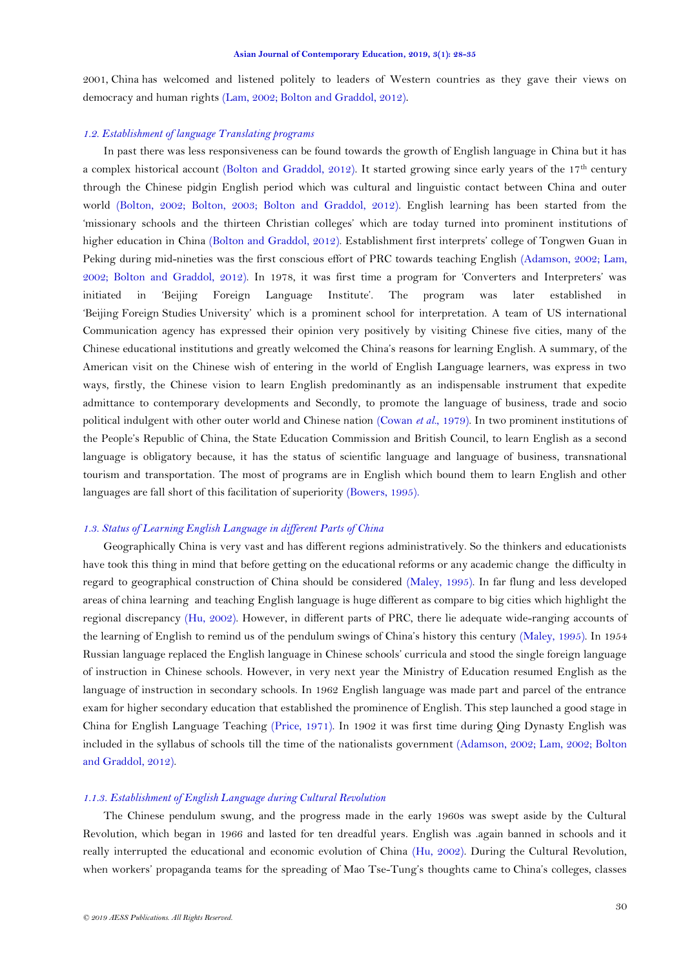2001, China has welcomed and listened politely to leaders of Western countries as they gave their views on democracy and human rights [\(Lam, 2002;](#page-6-7) [Bolton and Graddol, 2012\)](#page-6-6).

## *1.2. Establishment of language Translating programs*

In past there was less responsiveness can be found towards the growth of English language in China but it has a complex historical account [\(Bolton and Graddol, 2012\)](#page-6-6). It started growing since early years of the 17<sup>th</sup> century through the Chinese pidgin English period which was cultural and linguistic contact between China and outer world [\(Bolton, 2002;](#page-5-0) [Bolton, 2003;](#page-5-1) [Bolton and Graddol, 2012\)](#page-6-6). English learning has been started from the "missionary schools and the thirteen Christian colleges" which are today turned into prominent institutions of higher education in China [\(Bolton and Graddol, 2012\)](#page-6-6). Establishment first interprets" college of Tongwen Guan in Peking during mid-nineties was the first conscious effort of PRC towards teaching English [\(Adamson, 2002;](#page-5-2) [Lam,](#page-6-7)  [2002;](#page-6-7) [Bolton and Graddol, 2012\)](#page-6-6). In 1978, it was first time a program for "Converters and Interpreters" was initiated in 'Beijing Foreign Language Institute'. The program was later established in "Beijing Foreign Studies University" which is a prominent school for interpretation. A team of US international Communication agency has expressed their opinion very positively by visiting Chinese five cities, many of the Chinese educational institutions and greatly welcomed the China"s reasons for learning English. A summary, of the American visit on the Chinese wish of entering in the world of English Language learners, was express in two ways, firstly, the Chinese vision to learn English predominantly as an indispensable instrument that expedite admittance to contemporary developments and Secondly, to promote the language of business, trade and socio political indulgent with other outer world and Chinese nation [\(Cowan](#page-6-8) *et al.*, 1979). In two prominent institutions of the People"s Republic of China, the State Education Commission and British Council, to learn English as a second language is obligatory because, it has the status of scientific language and language of business, transnational tourism and transportation. The most of programs are in English which bound them to learn English and other languages are fall short of this facilitation of superiority [\(Bowers, 1995\)](#page-6-9).

### *1.3. Status of Learning English Language in different Parts of China*

Geographically China is very vast and has different regions administratively. So the thinkers and educationists have took this thing in mind that before getting on the educational reforms or any academic change the difficulty in regard to geographical construction of China should be considered [\(Maley, 1995\)](#page-6-3). In far flung and less developed areas of china learning and teaching English language is huge different as compare to big cities which highlight the regional discrepancy [\(Hu, 2002\)](#page-6-4). However, in different parts of PRC, there lie adequate wide-ranging accounts of the learning of English to remind us of the pendulum swings of China"s history this century [\(Maley, 1995\)](#page-6-3). In 1954 Russian language replaced the English language in Chinese schools" curricula and stood the single foreign language of instruction in Chinese schools. However, in very next year the Ministry of Education resumed English as the language of instruction in secondary schools. In 1962 English language was made part and parcel of the entrance exam for higher secondary education that established the prominence of English. This step launched a good stage in China for English Language Teaching [\(Price, 1971\)](#page-6-10). In 1902 it was first time during Qing Dynasty English was included in the syllabus of schools till the time of the nationalists government [\(Adamson, 2002;](#page-5-2) [Lam, 2002;](#page-6-7) [Bolton](#page-6-6)  [and Graddol, 2012\)](#page-6-6).

## *1.1.3. Establishment of English Language during Cultural Revolution*

The Chinese pendulum swung, and the progress made in the early 1960s was swept aside by the Cultural Revolution, which began in 1966 and lasted for ten dreadful years. English was .again banned in schools and it really interrupted the educational and economic evolution of China [\(Hu, 2002\)](#page-6-4). During the Cultural Revolution, when workers' propaganda teams for the spreading of Mao Tse-Tung's thoughts came to China's colleges, classes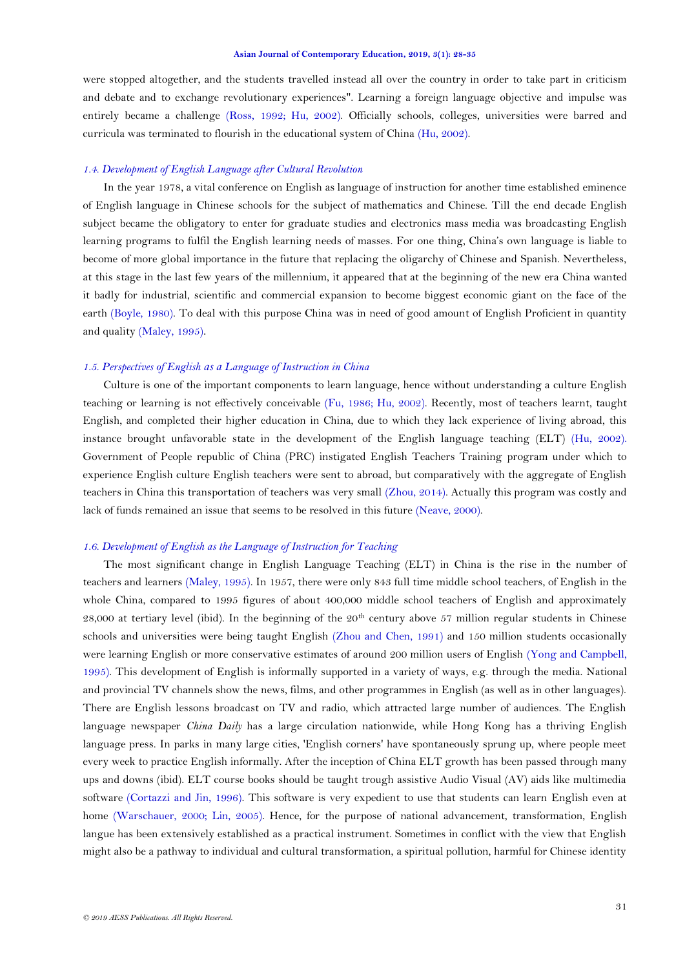#### **Asian Journal of Contemporary Education, 2019, 3(1): 28-35**

were stopped altogether, and the students travelled instead all over the country in order to take part in criticism and debate and to exchange revolutionary experiences". Learning a foreign language objective and impulse was entirely became a challenge [\(Ross, 1992;](#page-6-2) [Hu, 2002\)](#page-6-4). Officially schools, colleges, universities were barred and curricula was terminated to flourish in the educational system of China [\(Hu, 2002\)](#page-6-4).

## *1.4. Development of English Language after Cultural Revolution*

In the year 1978, a vital conference on English as language of instruction for another time established eminence of English language in Chinese schools for the subject of mathematics and Chinese. Till the end decade English subject became the obligatory to enter for graduate studies and electronics mass media was broadcasting English learning programs to fulfil the English learning needs of masses. For one thing, China"s own language is liable to become of more global importance in the future that replacing the oligarchy of Chinese and Spanish. Nevertheless, at this stage in the last few years of the millennium, it appeared that at the beginning of the new era China wanted it badly for industrial, scientific and commercial expansion to become biggest economic giant on the face of the earth [\(Boyle, 1980\)](#page-6-11). To deal with this purpose China was in need of good amount of English Proficient in quantity and quality [\(Maley, 1995\)](#page-6-3).

### *1.5. Perspectives of English as a Language of Instruction in China*

Culture is one of the important components to learn language, hence without understanding a culture English teaching or learning is not effectively conceivable [\(Fu, 1986;](#page-6-12) [Hu, 2002\)](#page-6-4). Recently, most of teachers learnt, taught English, and completed their higher education in China, due to which they lack experience of living abroad, this instance brought unfavorable state in the development of the English language teaching (ELT) [\(Hu, 2002\)](#page-6-4). Government of People republic of China (PRC) instigated English Teachers Training program under which to experience English culture English teachers were sent to abroad, but comparatively with the aggregate of English teachers in China this transportation of teachers was very small [\(Zhou, 2014\)](#page-7-2). Actually this program was costly and lack of funds remained an issue that seems to be resolved in this future [\(Neave, 2000\)](#page-6-13).

### *1.6. Development of English as the Language of Instruction for Teaching*

The most significant change in English Language Teaching (ELT) in China is the rise in the number of teachers and learners [\(Maley, 1995\)](#page-6-3). In 1957, there were only 843 full time middle school teachers, of English in the whole China, compared to 1995 figures of about 400,000 middle school teachers of English and approximately 28,000 at tertiary level (ibid). In the beginning of the  $20<sup>th</sup>$  century above 57 million regular students in Chinese schools and universities were being taught English [\(Zhou and Chen, 1991\)](#page-7-3) and 150 million students occasionally were learning English or more conservative estimates of around 200 million users of English [\(Yong and Campbell,](#page-7-4)  [1995\)](#page-7-4). This development of English is informally supported in a variety of ways, e.g. through the media. National and provincial TV channels show the news, films, and other programmes in English (as well as in other languages). There are English lessons broadcast on TV and radio, which attracted large number of audiences. The English language newspaper *China Daily* has a large circulation nationwide, while Hong Kong has a thriving English language press. In parks in many large cities, 'English corners' have spontaneously sprung up, where people meet every week to practice English informally. After the inception of China ELT growth has been passed through many ups and downs (ibid). ELT course books should be taught trough assistive Audio Visual (AV) aids like multimedia software [\(Cortazzi and Jin, 1996\)](#page-6-1). This software is very expedient to use that students can learn English even at home [\(Warschauer, 2000;](#page-7-5) [Lin, 2005\)](#page-6-14). Hence, for the purpose of national advancement, transformation, English langue has been extensively established as a practical instrument. Sometimes in conflict with the view that English might also be a pathway to individual and cultural transformation, a spiritual pollution, harmful for Chinese identity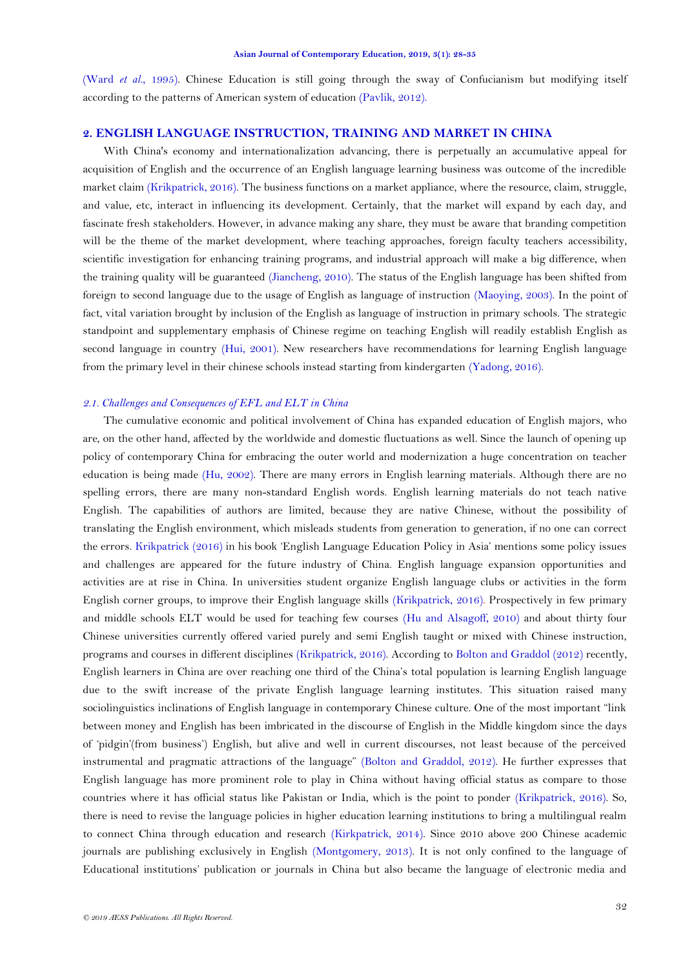(Ward *et al.*[, 1995\)](#page-6-15). Chinese Education is still going through the sway of Confucianism but modifying itself according to the patterns of American system of education [\(Pavlik, 2012\)](#page-6-5).

### **2. ENGLISH LANGUAGE INSTRUCTION, TRAINING AND MARKET IN CHINA**

With China's economy and internationalization advancing, there is perpetually an accumulative appeal for acquisition of English and the occurrence of an English language learning business was outcome of the incredible market claim [\(Krikpatrick, 2016\)](#page-6-0). The business functions on a market appliance, where the resource, claim, struggle, and value, etc, interact in influencing its development. Certainly, that the market will expand by each day, and fascinate fresh stakeholders. However, in advance making any share, they must be aware that branding competition will be the theme of the market development, where teaching approaches, foreign faculty teachers accessibility, scientific investigation for enhancing training programs, and industrial approach will make a big difference, when the training quality will be guaranteed [\(Jiancheng, 2010\)](#page-6-16). The status of the English language has been shifted from foreign to second language due to the usage of English as language of instruction [\(Maoying, 2003\)](#page-6-17). In the point of fact, vital variation brought by inclusion of the English as language of instruction in primary schools. The strategic standpoint and supplementary emphasis of Chinese regime on teaching English will readily establish English as second language in country [\(Hui, 2001\)](#page-6-18). New researchers have recommendations for learning English language from the primary level in their chinese schools instead starting from kindergarten [\(Yadong, 2016\)](#page-7-6).

### *2.1. Challenges and Consequences of EFL and ELT in China*

The cumulative economic and political involvement of China has expanded education of English majors, who are, on the other hand, affected by the worldwide and domestic fluctuations as well. Since the launch of opening up policy of contemporary China for embracing the outer world and modernization a huge concentration on teacher education is being made [\(Hu, 2002\)](#page-6-4). There are many errors in English learning materials. Although there are no spelling errors, there are many non-standard English words. English learning materials do not teach native English. The capabilities of authors are limited, because they are native Chinese, without the possibility of translating the English environment, which misleads students from generation to generation, if no one can correct the errors. [Krikpatrick \(2016\)](#page-6-0) in his book "English Language Education Policy in Asia" mentions some policy issues and challenges are appeared for the future industry of China. English language expansion opportunities and activities are at rise in China. In universities student organize English language clubs or activities in the form English corner groups, to improve their English language skills [\(Krikpatrick, 2016\)](#page-6-0). Prospectively in few primary and middle schools ELT would be used for teaching few courses [\(Hu and Alsagoff, 2010\)](#page-6-19) and about thirty four Chinese universities currently offered varied purely and semi English taught or mixed with Chinese instruction, programs and courses in different disciplines [\(Krikpatrick, 2016\)](#page-6-0). According to [Bolton and Graddol \(2012\)](#page-6-6) recently, English learners in China are over reaching one third of the China"s total population is learning English language due to the swift increase of the private English language learning institutes. This situation raised many sociolinguistics inclinations of English language in contemporary Chinese culture. One of the most important "link between money and English has been imbricated in the discourse of English in the Middle kingdom since the days of "pidgin"(from business") English, but alive and well in current discourses, not least because of the perceived instrumental and pragmatic attractions of the language" [\(Bolton and Graddol, 2012\)](#page-6-6). He further expresses that English language has more prominent role to play in China without having official status as compare to those countries where it has official status like Pakistan or India, which is the point to ponder [\(Krikpatrick, 2016\)](#page-6-0). So, there is need to revise the language policies in higher education learning institutions to bring a multilingual realm to connect China through education and research [\(Kirkpatrick, 2014\)](#page-6-20). Since 2010 above 200 Chinese academic journals are publishing exclusively in English [\(Montgomery, 2013\)](#page-6-21). It is not only confined to the language of Educational institutions" publication or journals in China but also became the language of electronic media and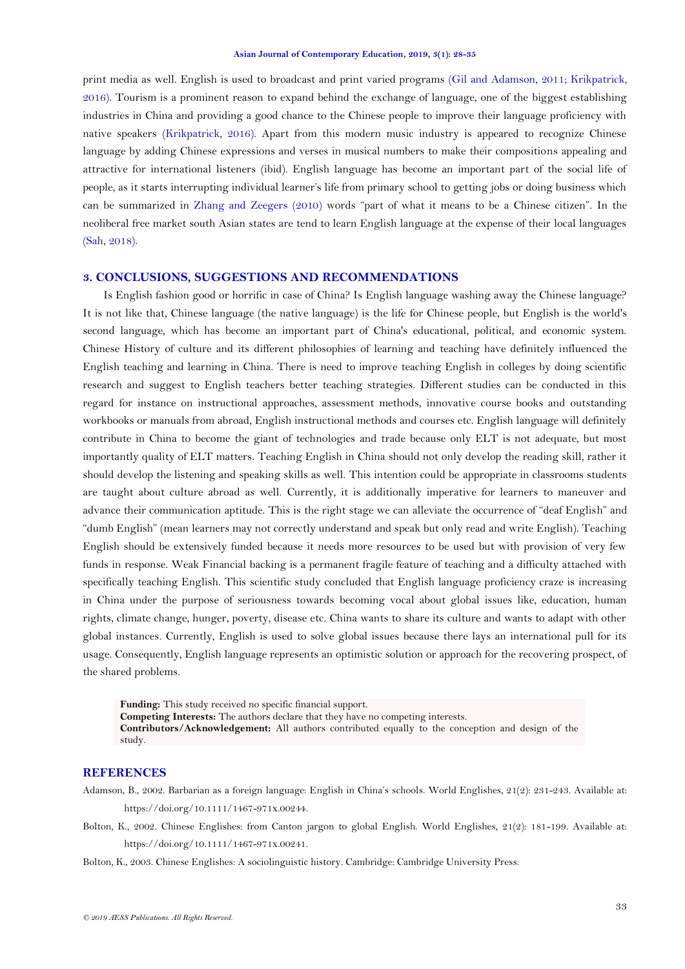print media as well. English is used to broadcast and print varied programs [\(Gil and Adamson, 2011;](#page-6-22) [Krikpatrick,](#page-6-0)  [2016\)](#page-6-0). Tourism is a prominent reason to expand behind the exchange of language, one of the biggest establishing industries in China and providing a good chance to the Chinese people to improve their language proficiency with native speakers [\(Krikpatrick, 2016\)](#page-6-0). Apart from this modern music industry is appeared to recognize Chinese language by adding Chinese expressions and verses in musical numbers to make their compositions appealing and attractive for international listeners (ibid). English language has become an important part of the social life of people, as it starts interrupting individual learner"s life from primary school to getting jobs or doing business which can be summarized in [Zhang and Zeegers \(2010\)](#page-7-0) words "part of what it means to be a Chinese citizen". In the neoliberal free market south Asian states are tend to learn English language at the expense of their local languages [\(Sah, 2018\)](#page-6-23).

### **3. CONCLUSIONS, SUGGESTIONS AND RECOMMENDATIONS**

Is English fashion good or horrific in case of China? Is English language washing away the Chinese language? It is not like that, Chinese language (the native language) is the life for Chinese people, but English is the world's second language, which has become an important part of China's educational, political, and economic system. Chinese History of culture and its different philosophies of learning and teaching have definitely influenced the English teaching and learning in China. There is need to improve teaching English in colleges by doing scientific research and suggest to English teachers better teaching strategies. Different studies can be conducted in this regard for instance on instructional approaches, assessment methods, innovative course books and outstanding workbooks or manuals from abroad, English instructional methods and courses etc. English language will definitely contribute in China to become the giant of technologies and trade because only ELT is not adequate, but most importantly quality of ELT matters. Teaching English in China should not only develop the reading skill, rather it should develop the listening and speaking skills as well. This intention could be appropriate in classrooms students are taught about culture abroad as well. Currently, it is additionally imperative for learners to maneuver and advance their communication aptitude. This is the right stage we can alleviate the occurrence of "deaf English" and "dumb English" (mean learners may not correctly understand and speak but only read and write English). Teaching English should be extensively funded because it needs more resources to be used but with provision of very few funds in response. Weak Financial backing is a permanent fragile feature of teaching and a difficulty attached with specifically teaching English. This scientific study concluded that English language proficiency craze is increasing in China under the purpose of seriousness towards becoming vocal about global issues like, education, human rights, climate change, hunger, poverty, disease etc. China wants to share its culture and wants to adapt with other global instances. Currently, English is used to solve global issues because there lays an international pull for its usage. Consequently, English language represents an optimistic solution or approach for the recovering prospect, of the shared problems.

**Funding:** This study received no specific financial support. **Competing Interests:** The authors declare that they have no competing interests. **Contributors/Acknowledgement:** All authors contributed equally to the conception and design of the study.

### **REFERENCES**

<span id="page-5-2"></span>Adamson, B., 2002. Barbarian as a foreign language: English in China"s schools. World Englishes, 21(2): 231-243. Available at: https://doi.org/10.1111/1467-971x.00244.

<span id="page-5-0"></span>Bolton, K., 2002. Chinese Englishes: from Canton jargon to global English. World Englishes, 21(2): 181-199. Available at: https://doi.org/10.1111/1467-971x.00241.

<span id="page-5-1"></span>Bolton, K., 2003. Chinese Englishes: A sociolinguistic history. Cambridge: Cambridge University Press.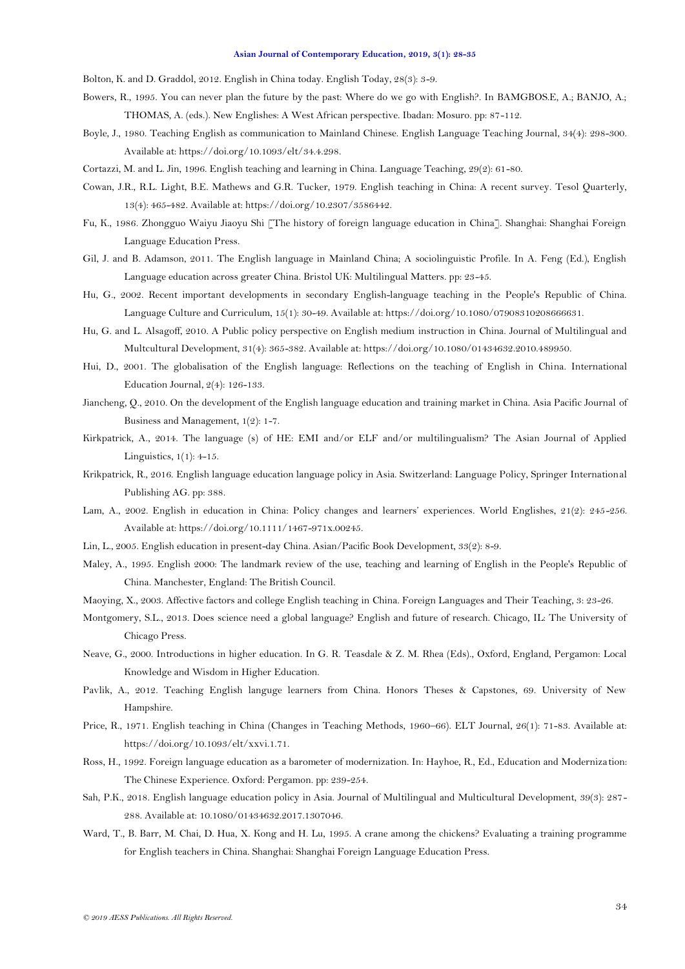#### **Asian Journal of Contemporary Education, 2019, 3(1): 28-35**

<span id="page-6-6"></span>Bolton, K. and D. Graddol, 2012. English in China today. English Today, 28(3): 3-9.

- <span id="page-6-9"></span>Bowers, R., 1995. You can never plan the future by the past: Where do we go with English?. In BAMGBOS.E, A.; BANJO, A.; THOMAS, A. (eds.). New Englishes: A West African perspective. Ibadan: Mosuro. pp: 87-112.
- <span id="page-6-11"></span>Boyle, J., 1980. Teaching English as communication to Mainland Chinese. English Language Teaching Journal, 34(4): 298-300. Available at: https://doi.org/10.1093/elt/34.4.298.
- <span id="page-6-1"></span>Cortazzi, M. and L. Jin, 1996. English teaching and learning in China. Language Teaching, 29(2): 61-80.
- <span id="page-6-8"></span>Cowan, J.R., R.L. Light, B.E. Mathews and G.R. Tucker, 1979. English teaching in China: A recent survey. Tesol Quarterly, 13(4): 465-482. Available at: https://doi.org/10.2307/3586442.
- <span id="page-6-12"></span>Fu, K., 1986. Zhongguo Waiyu Jiaoyu Shi [The history of foreign language education in China]. Shanghai: Shanghai Foreign Language Education Press.
- <span id="page-6-22"></span>Gil, J. and B. Adamson, 2011. The English language in Mainland China; A sociolinguistic Profile. In A. Feng (Ed.), English Language education across greater China. Bristol UK: Multilingual Matters. pp: 23-45.
- <span id="page-6-4"></span>Hu, G., 2002. Recent important developments in secondary English-language teaching in the People's Republic of China. Language Culture and Curriculum, 15(1): 30-49. Available at: https://doi.org/10.1080/07908310208666631.
- <span id="page-6-19"></span>Hu, G. and L. Alsagoff, 2010. A Public policy perspective on English medium instruction in China. Journal of Multilingual and Multcultural Development, 31(4): 365-382. Available at: https://doi.org/10.1080/01434632.2010.489950.
- <span id="page-6-18"></span>Hui, D., 2001. The globalisation of the English language: Reflections on the teaching of English in China. International Education Journal, 2(4): 126-133.
- <span id="page-6-16"></span>Jiancheng, Q., 2010. On the development of the English language education and training market in China. Asia Pacific Journal of Business and Management, 1(2): 1-7.
- <span id="page-6-20"></span>Kirkpatrick, A., 2014. The language (s) of HE: EMI and/or ELF and/or multilingualism? The Asian Journal of Applied Linguistics, 1(1): 4-15.
- <span id="page-6-0"></span>Krikpatrick, R., 2016. English language education language policy in Asia. Switzerland: Language Policy, Springer International Publishing AG. pp: 388.
- <span id="page-6-7"></span>Lam, A., 2002. English in education in China: Policy changes and learners" experiences. World Englishes, 21(2): 245-256. Available at: https://doi.org/10.1111/1467-971x.00245.
- <span id="page-6-14"></span>Lin, L., 2005. English education in present-day China. Asian/Pacific Book Development, 33(2): 8-9.
- <span id="page-6-3"></span>Maley, A., 1995. English 2000: The landmark review of the use, teaching and learning of English in the People's Republic of China. Manchester, England: The British Council.
- <span id="page-6-17"></span>Maoying, X., 2003. Affective factors and college English teaching in China. Foreign Languages and Their Teaching, 3: 23-26.
- <span id="page-6-21"></span>Montgomery, S.L., 2013. Does science need a global language? English and future of research. Chicago, IL: The University of Chicago Press.
- <span id="page-6-13"></span>Neave, G., 2000. Introductions in higher education. In G. R. Teasdale & Z. M. Rhea (Eds)., Oxford, England, Pergamon: Local Knowledge and Wisdom in Higher Education.
- <span id="page-6-5"></span>Pavlik, A., 2012. Teaching English languge learners from China. Honors Theses & Capstones, 69. University of New Hampshire.
- <span id="page-6-10"></span>Price, R., 1971. English teaching in China (Changes in Teaching Methods, 1960–66). ELT Journal, 26(1): 71-83. Available at: https://doi.org/10.1093/elt/xxvi.1.71.
- <span id="page-6-2"></span>Ross, H., 1992. Foreign language education as a barometer of modernization. In: Hayhoe, R., Ed., Education and Modernization: The Chinese Experience. Oxford: Pergamon. pp: 239-254.
- <span id="page-6-23"></span>Sah, P.K., 2018. English language education policy in Asia. Journal of Multilingual and Multicultural Development, 39(3): 287- 288. Available at: 10.1080/01434632.2017.1307046.
- <span id="page-6-15"></span>Ward, T., B. Barr, M. Chai, D. Hua, X. Kong and H. Lu, 1995. A crane among the chickens? Evaluating a training programme for English teachers in China. Shanghai: Shanghai Foreign Language Education Press.